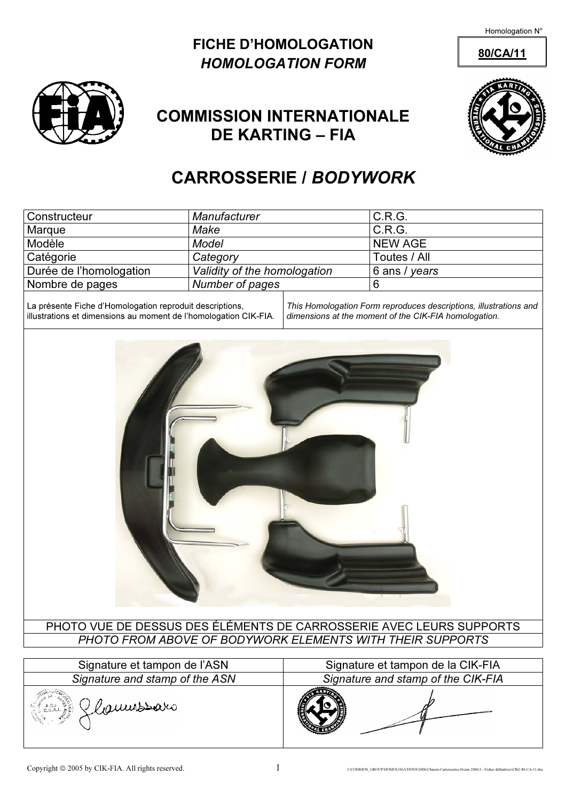### FICHE D'HOMOLOGATION 80/CA/11 HOMOLOGATION FORM





## COMMISSION INTERNATIONALE DE KARTING – FIA

# CARROSSERIE / BODYWORK

| Constructeur            | Manufacturer                 | C.R.G.         |
|-------------------------|------------------------------|----------------|
| Marque                  | Make                         | C.R.G.         |
| Modèle                  | Model                        | <b>NEW AGE</b> |
| Catégorie               | Category                     | Toutes / All   |
| Durée de l'homologation | Validity of the homologation | 6 ans / years  |
| Nombre de pages         | Number of pages              | 6              |

La présente Fiche d'Homologation reproduit descriptions, illustrations et dimensions au moment de l'homologation CIK-FIA.

This Homologation Form reproduces descriptions, illustrations and dimensions at the moment of the CIK-FIA homologation.



PHOTO VUE DE DESSUS DES ÉLÉMENTS DE CARROSSERIE AVEC LEURS SUPPORTS PHOTO FROM ABOVE OF BODYWORK ELEMENTS WITH THEIR SUPPORTS

| Signature et tampon de l'ASN               | Signature et tampon de la CIK-FIA  |  |
|--------------------------------------------|------------------------------------|--|
| Signature and stamp of the ASN             | Signature and stamp of the CIK-FIA |  |
| Klaumssars<br>공록 - A.O.I.<br>전국 - O.S.A.I. |                                    |  |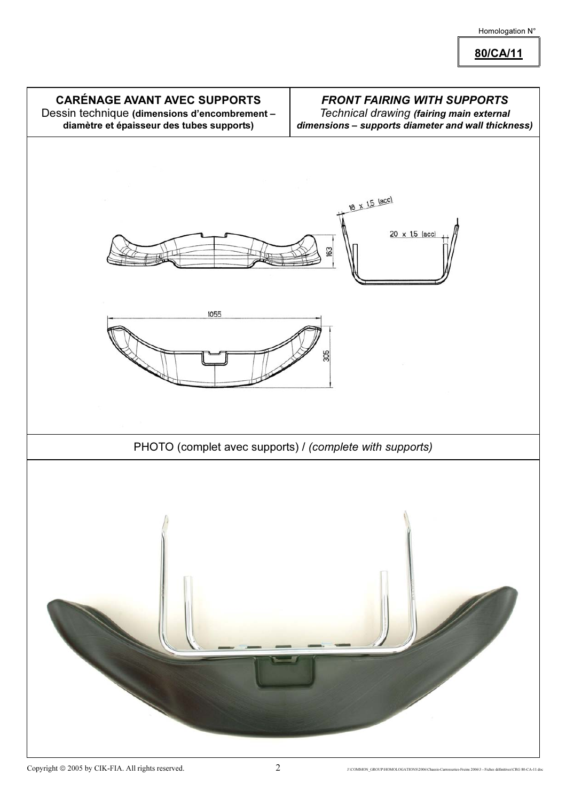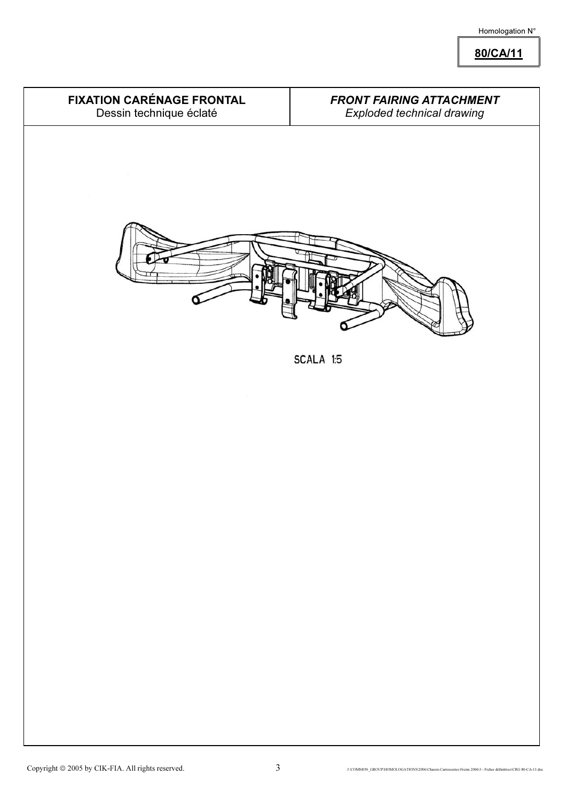80/CA/11

FIXATION CARÉNAGE FRONTAL Dessin technique éclaté

### FRONT FAIRING ATTACHMENT Exploded technical drawing



SCALA 1:5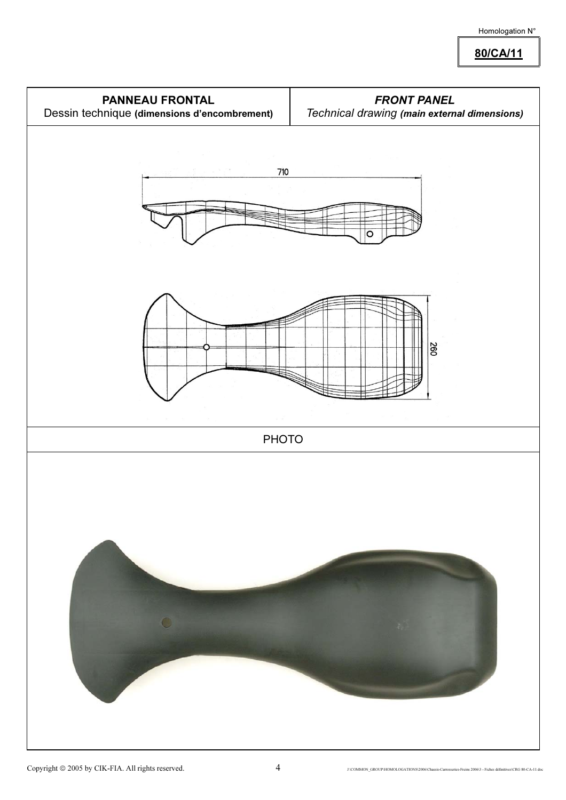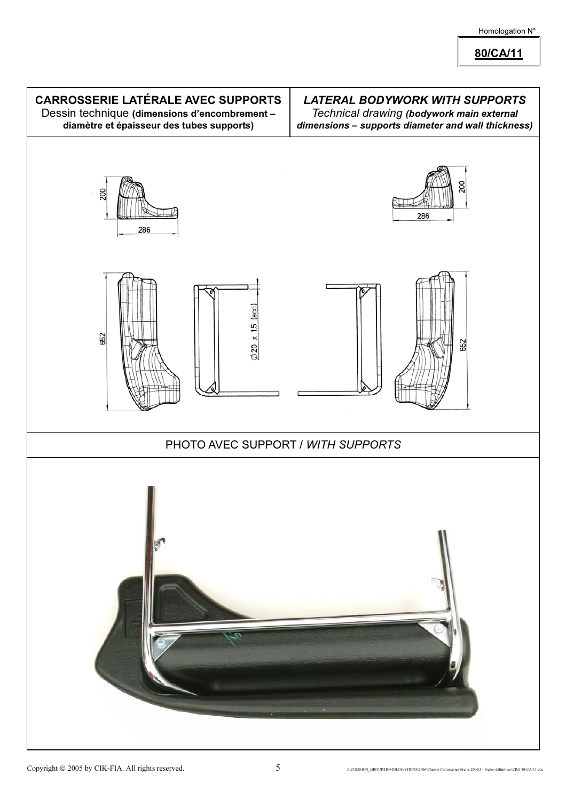